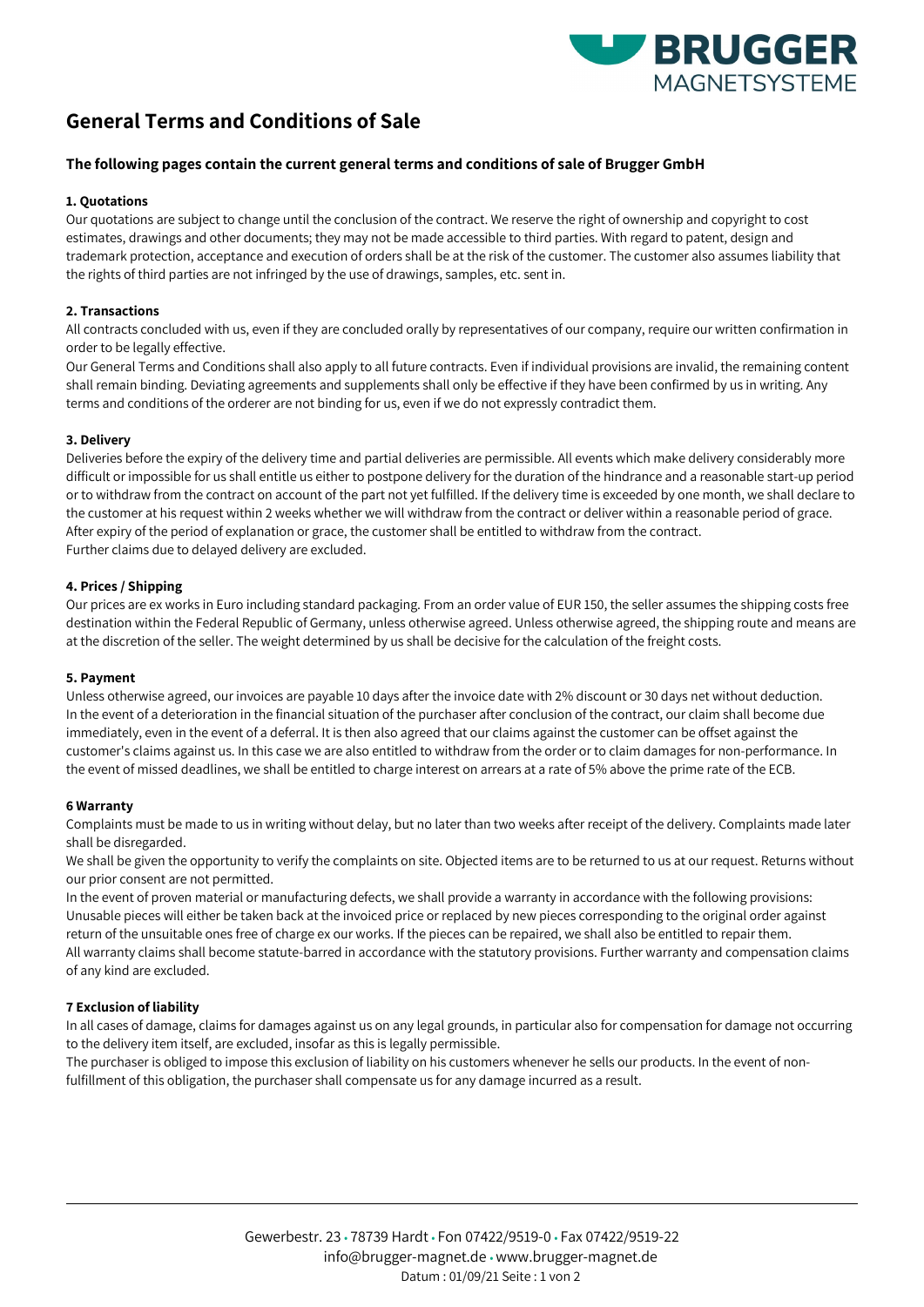

# **General Terms and Conditions of Sale**

## **The following pages contain the current general terms and conditions of sale of Brugger GmbH**

### **1. Quotations**

Our quotations are subject to change until the conclusion of the contract. We reserve the right of ownership and copyright to cost estimates, drawings and other documents; they may not be made accessible to third parties. With regard to patent, design and trademark protection, acceptance and execution of orders shall be at the risk of the customer. The customer also assumes liability that the rights of third parties are not infringed by the use of drawings, samples, etc. sent in.

#### **2. Transactions**

All contracts concluded with us, even if they are concluded orally by representatives of our company, require our written confirmation in order to be legally effective.

Our General Terms and Conditions shall also apply to all future contracts. Even if individual provisions are invalid, the remaining content shall remain binding. Deviating agreements and supplements shall only be effective if they have been confirmed by us in writing. Any terms and conditions of the orderer are not binding for us, even if we do not expressly contradict them.

#### **3. Delivery**

Deliveries before the expiry of the delivery time and partial deliveries are permissible. All events which make delivery considerably more difficult or impossible for us shall entitle us either to postpone delivery for the duration of the hindrance and a reasonable start-up period or to withdraw from the contract on account of the part not yet fulfilled. If the delivery time is exceeded by one month, we shall declare to the customer at his request within 2 weeks whether we will withdraw from the contract or deliver within a reasonable period of grace. After expiry of the period of explanation or grace, the customer shall be entitled to withdraw from the contract. Further claims due to delayed delivery are excluded.

#### **4. Prices / Shipping**

Our prices are ex works in Euro including standard packaging. From an order value of EUR 150, the seller assumes the shipping costs free destination within the Federal Republic of Germany, unless otherwise agreed. Unless otherwise agreed, the shipping route and means are at the discretion of the seller. The weight determined by us shall be decisive for the calculation of the freight costs.

#### **5. Payment**

Unless otherwise agreed, our invoices are payable 10 days after the invoice date with 2% discount or 30 days net without deduction. In the event of a deterioration in the financial situation of the purchaser after conclusion of the contract, our claim shall become due immediately, even in the event of a deferral. It is then also agreed that our claims against the customer can be offset against the customer's claims against us. In this case we are also entitled to withdraw from the order or to claim damages for non-performance. In the event of missed deadlines, we shall be entitled to charge interest on arrears at a rate of 5% above the prime rate of the ECB.

#### **6 Warranty**

Complaints must be made to us in writing without delay, but no later than two weeks after receipt of the delivery. Complaints made later shall be disregarded.

We shall be given the opportunity to verify the complaints on site. Objected items are to be returned to us at our request. Returns without our prior consent are not permitted.

In the event of proven material or manufacturing defects, we shall provide a warranty in accordance with the following provisions: Unusable pieces will either be taken back at the invoiced price or replaced by new pieces corresponding to the original order against return of the unsuitable ones free of charge ex our works. If the pieces can be repaired, we shall also be entitled to repair them. All warranty claims shall become statute-barred in accordance with the statutory provisions. Further warranty and compensation claims of any kind are excluded.

## **7 Exclusion of liability**

In all cases of damage, claims for damages against us on any legal grounds, in particular also for compensation for damage not occurring to the delivery item itself, are excluded, insofar as this is legally permissible.

The purchaser is obliged to impose this exclusion of liability on his customers whenever he sells our products. In the event of nonfulfillment of this obligation, the purchaser shall compensate us for any damage incurred as a result.